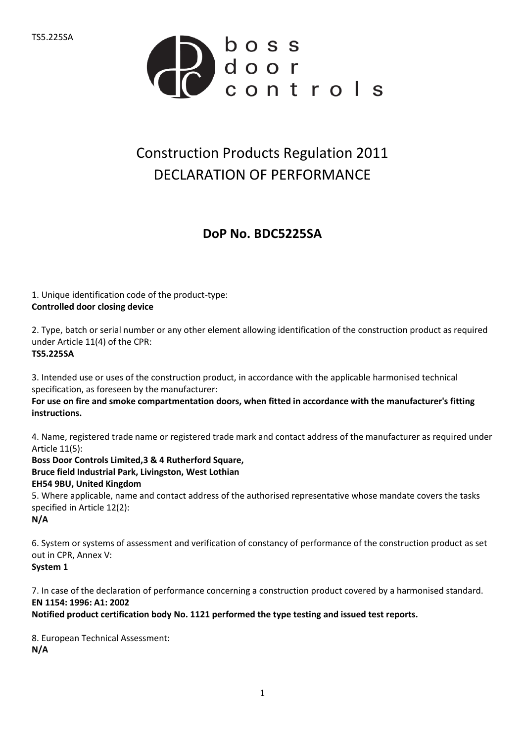

## Construction Products Regulation 2011 DECLARATION OF PERFORMANCE

## **DoP No. BDC5225SA**

1. Unique identification code of the product-type: **Controlled door closing device**

2. Type, batch or serial number or any other element allowing identification of the construction product as required under Article 11(4) of the CPR: **TS5.225SA**

3. Intended use or uses of the construction product, in accordance with the applicable harmonised technical specification, as foreseen by the manufacturer:

**For use on fire and smoke compartmentation doors, when fitted in accordance with the manufacturer's fitting instructions.**

4. Name, registered trade name or registered trade mark and contact address of the manufacturer as required under Article 11(5):

**Boss Door Controls Limited,3 & 4 Rutherford Square, Bruce field Industrial Park, Livingston, West Lothian EH54 9BU, United Kingdom** 5. Where applicable, name and contact address of the authorised representative whose mandate covers the tasks specified in Article 12(2): **N/A**

6. System or systems of assessment and verification of constancy of performance of the construction product as set out in CPR, Annex V: **System 1**

7. In case of the declaration of performance concerning a construction product covered by a harmonised standard. **EN 1154: 1996: A1: 2002**

**Notified product certification body No. 1121 performed the type testing and issued test reports.**

8. European Technical Assessment: **N/A**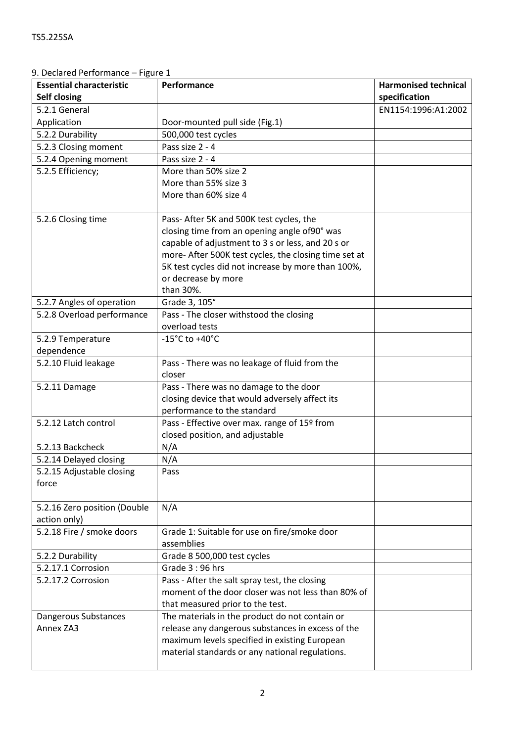| <b>Essential characteristic</b><br>Self closing | Performance                                           | <b>Harmonised technical</b><br>specification |
|-------------------------------------------------|-------------------------------------------------------|----------------------------------------------|
| 5.2.1 General                                   |                                                       | EN1154:1996:A1:2002                          |
| Application                                     | Door-mounted pull side (Fig.1)                        |                                              |
| 5.2.2 Durability                                | 500,000 test cycles                                   |                                              |
| 5.2.3 Closing moment                            | Pass size 2 - 4                                       |                                              |
| 5.2.4 Opening moment                            | Pass size 2 - 4                                       |                                              |
| 5.2.5 Efficiency;                               | More than 50% size 2                                  |                                              |
|                                                 | More than 55% size 3                                  |                                              |
|                                                 | More than 60% size 4                                  |                                              |
|                                                 |                                                       |                                              |
| 5.2.6 Closing time                              | Pass- After 5K and 500K test cycles, the              |                                              |
|                                                 | closing time from an opening angle of90° was          |                                              |
|                                                 | capable of adjustment to 3 s or less, and 20 s or     |                                              |
|                                                 | more- After 500K test cycles, the closing time set at |                                              |
|                                                 | 5K test cycles did not increase by more than 100%,    |                                              |
|                                                 | or decrease by more                                   |                                              |
|                                                 | than 30%.                                             |                                              |
| 5.2.7 Angles of operation                       | Grade 3, 105°                                         |                                              |
| 5.2.8 Overload performance                      | Pass - The closer withstood the closing               |                                              |
|                                                 | overload tests                                        |                                              |
| 5.2.9 Temperature                               | $-15^{\circ}$ C to $+40^{\circ}$ C                    |                                              |
| dependence                                      |                                                       |                                              |
| 5.2.10 Fluid leakage                            | Pass - There was no leakage of fluid from the         |                                              |
|                                                 | closer                                                |                                              |
| 5.2.11 Damage                                   | Pass - There was no damage to the door                |                                              |
|                                                 | closing device that would adversely affect its        |                                              |
|                                                 | performance to the standard                           |                                              |
| 5.2.12 Latch control                            | Pass - Effective over max. range of 15º from          |                                              |
|                                                 | closed position, and adjustable                       |                                              |
| 5.2.13 Backcheck                                | N/A                                                   |                                              |
| 5.2.14 Delayed closing                          | N/A                                                   |                                              |
| 5.2.15 Adjustable closing                       | Pass                                                  |                                              |
| force                                           |                                                       |                                              |
| 5.2.16 Zero position (Double                    | N/A                                                   |                                              |
| action only)                                    |                                                       |                                              |
| 5.2.18 Fire / smoke doors                       | Grade 1: Suitable for use on fire/smoke door          |                                              |
|                                                 | assemblies                                            |                                              |
| 5.2.2 Durability                                | Grade 8 500,000 test cycles                           |                                              |
| 5.2.17.1 Corrosion                              | Grade $3:96$ hrs                                      |                                              |
| 5.2.17.2 Corrosion                              | Pass - After the salt spray test, the closing         |                                              |
|                                                 | moment of the door closer was not less than 80% of    |                                              |
|                                                 | that measured prior to the test.                      |                                              |
| Dangerous Substances                            | The materials in the product do not contain or        |                                              |
| Annex ZA3                                       | release any dangerous substances in excess of the     |                                              |
|                                                 | maximum levels specified in existing European         |                                              |

9. Declared Performance – Figure 1

material standards or any national regulations.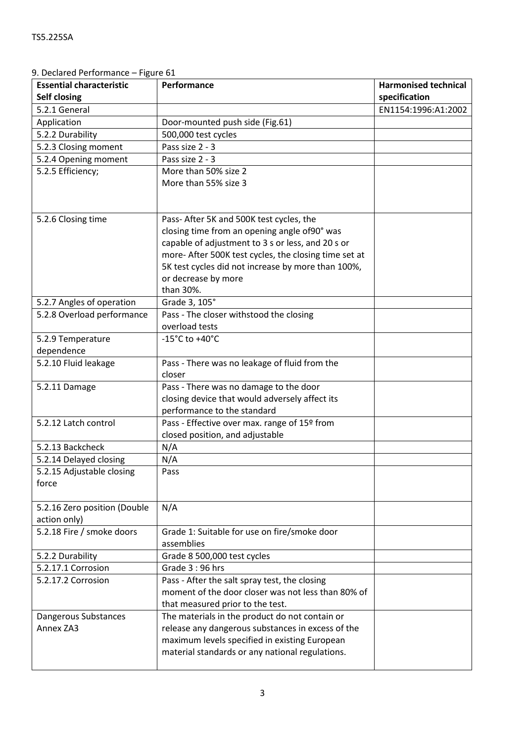| 9. Declared Performance – Figure 61 |  |
|-------------------------------------|--|
|-------------------------------------|--|

| <b>Essential characteristic</b> | Performance                                           | <b>Harmonised technical</b> |
|---------------------------------|-------------------------------------------------------|-----------------------------|
| <b>Self closing</b>             |                                                       | specification               |
| 5.2.1 General                   |                                                       | EN1154:1996:A1:2002         |
| Application                     | Door-mounted push side (Fig.61)                       |                             |
| 5.2.2 Durability                | 500,000 test cycles                                   |                             |
| 5.2.3 Closing moment            | Pass size 2 - 3                                       |                             |
| 5.2.4 Opening moment            | Pass size 2 - 3                                       |                             |
| 5.2.5 Efficiency;               | More than 50% size 2                                  |                             |
|                                 | More than 55% size 3                                  |                             |
|                                 |                                                       |                             |
|                                 |                                                       |                             |
| 5.2.6 Closing time              | Pass- After 5K and 500K test cycles, the              |                             |
|                                 | closing time from an opening angle of90° was          |                             |
|                                 | capable of adjustment to 3 s or less, and 20 s or     |                             |
|                                 | more- After 500K test cycles, the closing time set at |                             |
|                                 | 5K test cycles did not increase by more than 100%,    |                             |
|                                 | or decrease by more                                   |                             |
|                                 | than 30%.                                             |                             |
| 5.2.7 Angles of operation       | Grade 3, 105°                                         |                             |
| 5.2.8 Overload performance      | Pass - The closer withstood the closing               |                             |
|                                 | overload tests                                        |                             |
| 5.2.9 Temperature               | $-15^{\circ}$ C to $+40^{\circ}$ C                    |                             |
| dependence                      |                                                       |                             |
| 5.2.10 Fluid leakage            | Pass - There was no leakage of fluid from the         |                             |
|                                 | closer                                                |                             |
| 5.2.11 Damage                   | Pass - There was no damage to the door                |                             |
|                                 | closing device that would adversely affect its        |                             |
|                                 | performance to the standard                           |                             |
| 5.2.12 Latch control            | Pass - Effective over max. range of 15º from          |                             |
|                                 | closed position, and adjustable                       |                             |
| 5.2.13 Backcheck                | N/A                                                   |                             |
| 5.2.14 Delayed closing          | N/A                                                   |                             |
| 5.2.15 Adjustable closing       | Pass                                                  |                             |
| force                           |                                                       |                             |
| 5.2.16 Zero position (Double    | N/A                                                   |                             |
| action only)                    |                                                       |                             |
| 5.2.18 Fire / smoke doors       | Grade 1: Suitable for use on fire/smoke door          |                             |
|                                 | assemblies                                            |                             |
| 5.2.2 Durability                | Grade 8 500,000 test cycles                           |                             |
| 5.2.17.1 Corrosion              | Grade 3:96 hrs                                        |                             |
| 5.2.17.2 Corrosion              | Pass - After the salt spray test, the closing         |                             |
|                                 | moment of the door closer was not less than 80% of    |                             |
|                                 | that measured prior to the test.                      |                             |
| Dangerous Substances            | The materials in the product do not contain or        |                             |
| Annex ZA3                       | release any dangerous substances in excess of the     |                             |
|                                 | maximum levels specified in existing European         |                             |
|                                 | material standards or any national regulations.       |                             |
|                                 |                                                       |                             |